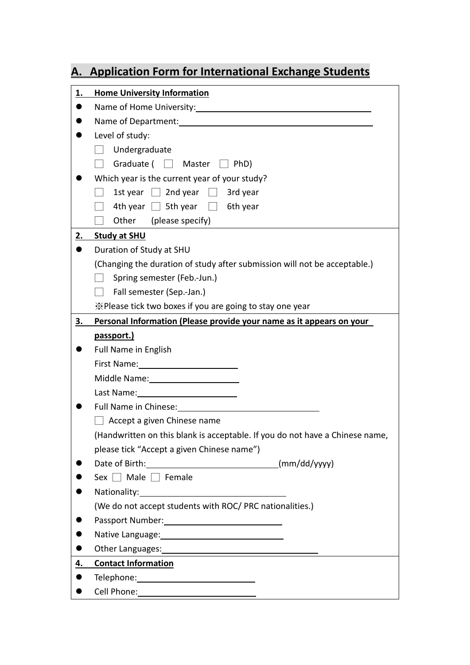# **A. Application Form for International Exchange Students**

| <u>1.</u> | <b>Home University Information</b>                                                                                                                                                                                             |
|-----------|--------------------------------------------------------------------------------------------------------------------------------------------------------------------------------------------------------------------------------|
|           | Name of Home University: 1997                                                                                                                                                                                                  |
|           |                                                                                                                                                                                                                                |
|           | Level of study:                                                                                                                                                                                                                |
|           | Undergraduate                                                                                                                                                                                                                  |
|           | Graduate $(\Box$ Master $\Box$ PhD)                                                                                                                                                                                            |
|           | Which year is the current year of your study?                                                                                                                                                                                  |
|           | 1st year $\Box$ 2nd year $\Box$ 3rd year                                                                                                                                                                                       |
|           | 4th year $\Box$ 5th year $\Box$ 6th year                                                                                                                                                                                       |
|           | Other (please specify)                                                                                                                                                                                                         |
| <u>2.</u> | Study at SHU                                                                                                                                                                                                                   |
|           | Duration of Study at SHU                                                                                                                                                                                                       |
|           | (Changing the duration of study after submission will not be acceptable.)                                                                                                                                                      |
|           | Spring semester (Feb.-Jun.)                                                                                                                                                                                                    |
|           | Fall semester (Sep.-Jan.)                                                                                                                                                                                                      |
|           | X Please tick two boxes if you are going to stay one year                                                                                                                                                                      |
| <u>3.</u> | Personal Information (Please provide your name as it appears on your                                                                                                                                                           |
|           | passport.)                                                                                                                                                                                                                     |
|           | <b>Full Name in English</b>                                                                                                                                                                                                    |
|           | First Name: 1990 March 1999                                                                                                                                                                                                    |
|           | Middle Name: 1988                                                                                                                                                                                                              |
|           | Last Name: 1988 1999                                                                                                                                                                                                           |
|           | Full Name in Chinese: The Contract of the Contract of the Contract of the Contract of the Contract of the Contract of the Contract of the Contract of the Contract of the Contract of the Contract of the Contract of the Cont |
|           | Accept a given Chinese name                                                                                                                                                                                                    |
|           | (Handwritten on this blank is acceptable. If you do not have a Chinese name,                                                                                                                                                   |
|           | please tick "Accept a given Chinese name")                                                                                                                                                                                     |
|           |                                                                                                                                                                                                                                |
|           | Sex $\Box$ Male $\Box$ Female                                                                                                                                                                                                  |
|           |                                                                                                                                                                                                                                |
|           | (We do not accept students with ROC/ PRC nationalities.)                                                                                                                                                                       |
|           | Passport Number: 1997                                                                                                                                                                                                          |
|           |                                                                                                                                                                                                                                |
|           | Other Languages: 1999 and 2009 and 2009 and 2009 and 2009 and 2009 and 2009 and 2009 and 2009 and 2009 and 200                                                                                                                 |
| 4.        | <b>Contact Information</b>                                                                                                                                                                                                     |
|           |                                                                                                                                                                                                                                |
|           |                                                                                                                                                                                                                                |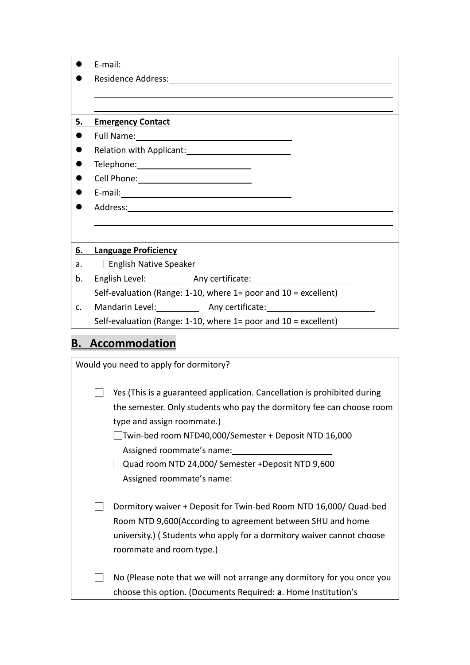|                | Residence Address: New York State State State State State State State State State State State State State State State State State State State State State State State State State State State State State State State State St |
|----------------|--------------------------------------------------------------------------------------------------------------------------------------------------------------------------------------------------------------------------------|
|                |                                                                                                                                                                                                                                |
|                |                                                                                                                                                                                                                                |
| 5.             | <b>Emergency Contact</b>                                                                                                                                                                                                       |
|                |                                                                                                                                                                                                                                |
|                | Relation with Applicant:<br><u> and Communication</u>                                                                                                                                                                          |
|                |                                                                                                                                                                                                                                |
|                |                                                                                                                                                                                                                                |
|                |                                                                                                                                                                                                                                |
|                |                                                                                                                                                                                                                                |
|                |                                                                                                                                                                                                                                |
|                |                                                                                                                                                                                                                                |
| 6.             | <b>Language Proficiency</b>                                                                                                                                                                                                    |
| a.             | $\Box$ English Native Speaker                                                                                                                                                                                                  |
| b.             |                                                                                                                                                                                                                                |
|                | Self-evaluation (Range: 1-10, where $1=$ poor and $10=$ excellent)                                                                                                                                                             |
| $\mathsf{C}$ . | Mandarin Level: ______________ Any certificate: ________________________________                                                                                                                                               |
|                | Self-evaluation (Range: 1-10, where 1= poor and $10 =$ excellent)                                                                                                                                                              |
|                |                                                                                                                                                                                                                                |
| В.             | <b>Accommodation</b>                                                                                                                                                                                                           |

| Would you need to apply for dormitory?                                                                                                                                                                                                                                                                                                                  |  |  |
|---------------------------------------------------------------------------------------------------------------------------------------------------------------------------------------------------------------------------------------------------------------------------------------------------------------------------------------------------------|--|--|
| Yes (This is a guaranteed application. Cancellation is prohibited during<br>the semester. Only students who pay the dormitory fee can choose room<br>type and assign roommate.)<br>Twin-bed room NTD40,000/Semester + Deposit NTD 16,000<br>Assigned roommate's name:<br>Quad room NTD 24,000/ Semester +Deposit NTD 9,600<br>Assigned roommate's name: |  |  |
| Dormitory waiver + Deposit for Twin-bed Room NTD 16,000/ Quad-bed<br>Room NTD 9,600(According to agreement between SHU and home<br>university.) (Students who apply for a dormitory waiver cannot choose<br>roommate and room type.)                                                                                                                    |  |  |
| No (Please note that we will not arrange any dormitory for you once you<br>choose this option. (Documents Required: a. Home Institution's                                                                                                                                                                                                               |  |  |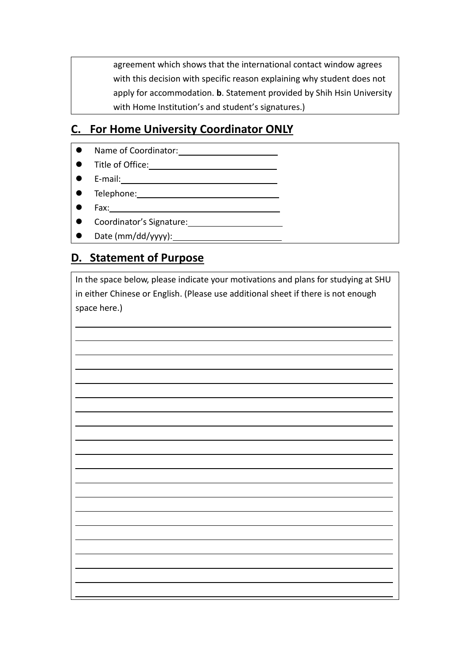agreement which shows that the international contact window agrees with this decision with specific reason explaining why student does not apply for accommodation. **b**. Statement provided by Shih Hsin University with Home Institution's and student's signatures.)

### **C. For Home University Coordinator ONLY**

- Name of Coordinator: <u>● Name of Coordinator:</u>
- ⚫ Title of Office:
- E-mail: 2000 E-mail: 2000 E-mail: 2000 E-mail: 2000 E-mail: 2000 E-mail: 2000 E-mail: 2000 E-mail: 2000 E-mail: 2000 E-mail: 2000 E-mail: 2000 E-mail: 2000 E-mail: 2000 E-mail: 2000 E-mail: 2000 E-mail: 2000 E-mail: 200
- ⚫ Telephone:
- Fax:

 $\overline{a}$  $\overline{a}$ 

 $\overline{a}$  $\overline{a}$ 

 $\overline{a}$  $\overline{a}$ 

 $\overline{a}$  $\overline{a}$ 

- ⚫ Coordinator's Signature:
- Date (mm/dd/yyyy): 1

#### **D. Statement of Purpose**

In the space below, please indicate your motivations and plans for studying at SHU in either Chinese or English. (Please use additional sheet if there is not enough space here.)